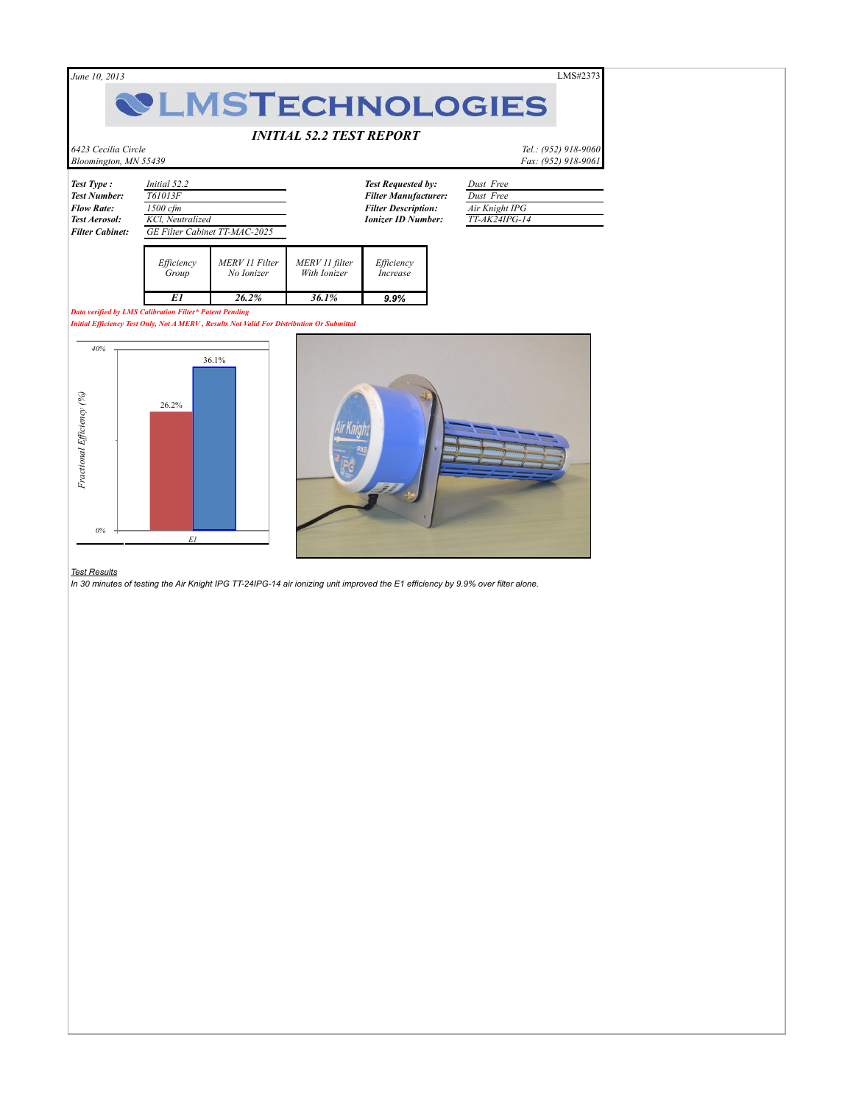*June 10, 2013* LMS#2373

# **WLMSTECHNOLOGIES**

## *INITIAL 52.2 TEST REPORT*

*6423 Cecilia Circle Tel.: (952) 918-9060 Bloomington, MN 55439 Fax: (952) 918-9061*

| <b>Test Type:</b>      | <i>Initial</i> 52.2           |
|------------------------|-------------------------------|
| <b>Test Number:</b>    | T61013F                       |
| <b>Flow Rate:</b>      | $1500$ cfm                    |
| <b>Test Aerosol:</b>   | KCl, Neutralized              |
| <b>Filter Cabinet:</b> | GE Filter Cabinet TT-MAC-2025 |
|                        |                               |

| Efficiency | MERV 11 Filter | MERV 11 filter | Efficiency      |
|------------|----------------|----------------|-----------------|
| Group      | No Ionizer     | With Ionizer   | <i>Increase</i> |
|            | $26.2\%$       | 36.1%          | 9.9%            |

*Data verified by LMS Calibration Filter\* Patent Pending*

*Initial Efficiency Test Only, Not A MERV , Results Not Valid For Distribution Or Submittal* 

## *Test Results*



*Test Requested by: Dust Free Test Number: T61013F Filter Manufacturer: Dust Free Filter Description: Air Knight IPG Ionizer ID Number: TT-AK24IPG-14*